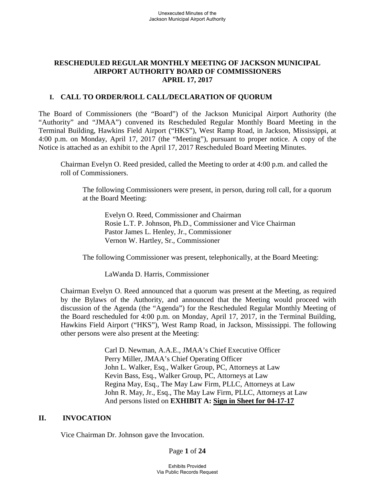# **RESCHEDULED REGULAR MONTHLY MEETING OF JACKSON MUNICIPAL AIRPORT AUTHORITY BOARD OF COMMISSIONERS APRIL 17, 2017**

## **I. CALL TO ORDER/ROLL CALL/DECLARATION OF QUORUM**

The Board of Commissioners (the "Board") of the Jackson Municipal Airport Authority (the "Authority" and "JMAA") convened its Rescheduled Regular Monthly Board Meeting in the Terminal Building, Hawkins Field Airport ("HKS"), West Ramp Road, in Jackson, Mississippi, at 4:00 p.m. on Monday, April 17, 2017 (the "Meeting"), pursuant to proper notice. A copy of the Notice is attached as an exhibit to the April 17, 2017 Rescheduled Board Meeting Minutes.

Chairman Evelyn O. Reed presided, called the Meeting to order at 4:00 p.m. and called the roll of Commissioners.

The following Commissioners were present, in person, during roll call, for a quorum at the Board Meeting:

Evelyn O. Reed, Commissioner and Chairman Rosie L.T. P. Johnson, Ph.D., Commissioner and Vice Chairman Pastor James L. Henley, Jr., Commissioner Vernon W. Hartley, Sr., Commissioner

The following Commissioner was present, telephonically, at the Board Meeting:

LaWanda D. Harris, Commissioner

Chairman Evelyn O. Reed announced that a quorum was present at the Meeting, as required by the Bylaws of the Authority, and announced that the Meeting would proceed with discussion of the Agenda (the "Agenda") for the Rescheduled Regular Monthly Meeting of the Board rescheduled for 4:00 p.m. on Monday, April 17, 2017, in the Terminal Building, Hawkins Field Airport ("HKS"), West Ramp Road, in Jackson, Mississippi. The following other persons were also present at the Meeting:

> Carl D. Newman, A.A.E., JMAA's Chief Executive Officer Perry Miller, JMAA's Chief Operating Officer John L. Walker, Esq., Walker Group, PC, Attorneys at Law Kevin Bass, Esq., Walker Group, PC, Attorneys at Law Regina May, Esq., The May Law Firm, PLLC, Attorneys at Law John R. May, Jr., Esq., The May Law Firm, PLLC, Attorneys at Law And persons listed on **EXHIBIT A: Sign in Sheet for 04-17-17**

### **II. INVOCATION**

Vice Chairman Dr. Johnson gave the Invocation.

Page **1** of **24**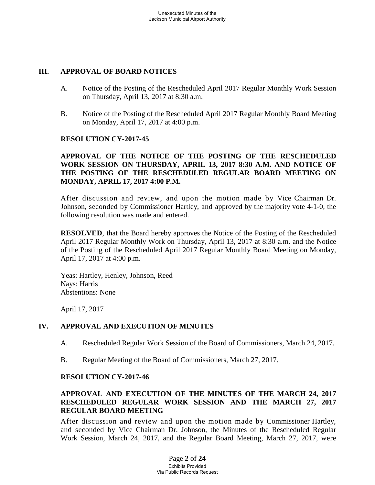## **III. APPROVAL OF BOARD NOTICES**

- A. Notice of the Posting of the Rescheduled April 2017 Regular Monthly Work Session on Thursday, April 13, 2017 at 8:30 a.m.
- B. Notice of the Posting of the Rescheduled April 2017 Regular Monthly Board Meeting on Monday, April 17, 2017 at 4:00 p.m.

### **RESOLUTION CY-2017-45**

# **APPROVAL OF THE NOTICE OF THE POSTING OF THE RESCHEDULED WORK SESSION ON THURSDAY, APRIL 13, 2017 8:30 A.M. AND NOTICE OF THE POSTING OF THE RESCHEDULED REGULAR BOARD MEETING ON MONDAY, APRIL 17, 2017 4:00 P.M.**

After discussion and review, and upon the motion made by Vice Chairman Dr. Johnson, seconded by Commissioner Hartley, and approved by the majority vote 4-1-0, the following resolution was made and entered.

**RESOLVED**, that the Board hereby approves the Notice of the Posting of the Rescheduled April 2017 Regular Monthly Work on Thursday, April 13, 2017 at 8:30 a.m. and the Notice of the Posting of the Rescheduled April 2017 Regular Monthly Board Meeting on Monday, April 17, 2017 at 4:00 p.m.

Yeas: Hartley, Henley, Johnson, Reed Nays: Harris Abstentions: None

April 17, 2017

# **IV. APPROVAL AND EXECUTION OF MINUTES**

- A. Rescheduled Regular Work Session of the Board of Commissioners, March 24, 2017.
- B. Regular Meeting of the Board of Commissioners, March 27, 2017.

### **RESOLUTION CY-2017-46**

## **APPROVAL AND EXECUTION OF THE MINUTES OF THE MARCH 24, 2017 RESCHEDULED REGULAR WORK SESSION AND THE MARCH 27, 2017 REGULAR BOARD MEETING**

After discussion and review and upon the motion made by Commissioner Hartley, and seconded by Vice Chairman Dr. Johnson, the Minutes of the Rescheduled Regular Work Session, March 24, 2017, and the Regular Board Meeting, March 27, 2017, were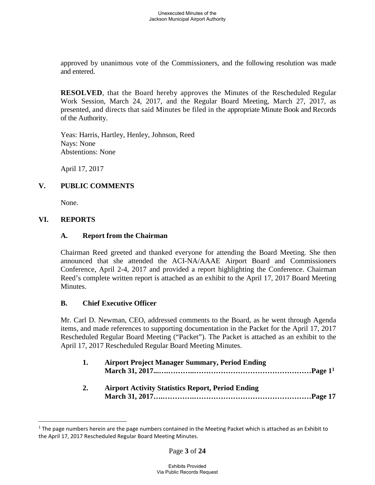approved by unanimous vote of the Commissioners, and the following resolution was made and entered.

**RESOLVED**, that the Board hereby approves the Minutes of the Rescheduled Regular Work Session, March 24, 2017, and the Regular Board Meeting, March 27, 2017, as presented, and directs that said Minutes be filed in the appropriate Minute Book and Records of the Authority.

Yeas: Harris, Hartley, Henley, Johnson, Reed Nays: None Abstentions: None

April 17, 2017

# **V. PUBLIC COMMENTS**

None.

# **VI. REPORTS**

### **A. Report from the Chairman**

Chairman Reed greeted and thanked everyone for attending the Board Meeting. She then announced that she attended the ACI-NA/AAAE Airport Board and Commissioners Conference, April 2-4, 2017 and provided a report highlighting the Conference. Chairman Reed's complete written report is attached as an exhibit to the April 17, 2017 Board Meeting Minutes.

# **B. Chief Executive Officer**

Mr. Carl D. Newman, CEO, addressed comments to the Board, as he went through Agenda items, and made references to supporting documentation in the Packet for the April 17, 2017 Rescheduled Regular Board Meeting ("Packet"). The Packet is attached as an exhibit to the April 17, 2017 Rescheduled Regular Board Meeting Minutes.

| <b>Airport Project Manager Summary, Period Ending</b> |  |
|-------------------------------------------------------|--|
| Airport Activity Statistics Report, Period Ending     |  |

**2. Airport Activity Statistics Report, Period Ending March 31, 2017….………….…………………………………………Page 17**

 $1$  The page numbers herein are the page numbers contained in the Meeting Packet which is attached as an Exhibit to the April 17, 2017 Rescheduled Regular Board Meeting Minutes.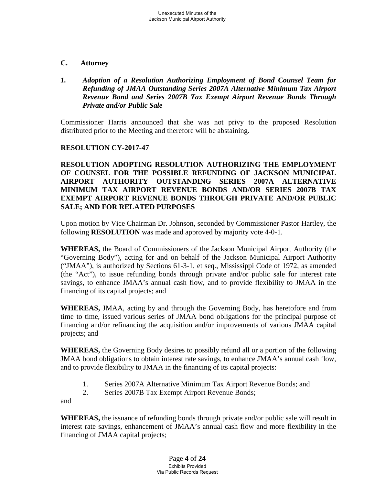- **C. Attorney**
- *1. Adoption of a Resolution Authorizing Employment of Bond Counsel Team for Refunding of JMAA Outstanding Series 2007A Alternative Minimum Tax Airport Revenue Bond and Series 2007B Tax Exempt Airport Revenue Bonds Through Private and/or Public Sale*

Commissioner Harris announced that she was not privy to the proposed Resolution distributed prior to the Meeting and therefore will be abstaining.

# **RESOLUTION CY-2017-47**

**RESOLUTION ADOPTING RESOLUTION AUTHORIZING THE EMPLOYMENT OF COUNSEL FOR THE POSSIBLE REFUNDING OF JACKSON MUNICIPAL AIRPORT AUTHORITY OUTSTANDING SERIES 2007A ALTERNATIVE MINIMUM TAX AIRPORT REVENUE BONDS AND/OR SERIES 2007B TAX EXEMPT AIRPORT REVENUE BONDS THROUGH PRIVATE AND/OR PUBLIC SALE; AND FOR RELATED PURPOSES**

Upon motion by Vice Chairman Dr. Johnson, seconded by Commissioner Pastor Hartley, the following **RESOLUTION** was made and approved by majority vote 4-0-1.

**WHEREAS,** the Board of Commissioners of the Jackson Municipal Airport Authority (the "Governing Body"), acting for and on behalf of the Jackson Municipal Airport Authority ("JMAA"), is authorized by Sections 61-3-1, et seq., Mississippi Code of 1972, as amended (the "Act"), to issue refunding bonds through private and/or public sale for interest rate savings, to enhance JMAA's annual cash flow, and to provide flexibility to JMAA in the financing of its capital projects; and

**WHEREAS,** JMAA, acting by and through the Governing Body, has heretofore and from time to time, issued various series of JMAA bond obligations for the principal purpose of financing and/or refinancing the acquisition and/or improvements of various JMAA capital projects; and

**WHEREAS,** the Governing Body desires to possibly refund all or a portion of the following JMAA bond obligations to obtain interest rate savings, to enhance JMAA's annual cash flow, and to provide flexibility to JMAA in the financing of its capital projects:

- 1. Series 2007A Alternative Minimum Tax Airport Revenue Bonds; and
- 2. Series 2007B Tax Exempt Airport Revenue Bonds;

and

**WHEREAS,** the issuance of refunding bonds through private and/or public sale will result in interest rate savings, enhancement of JMAA's annual cash flow and more flexibility in the financing of JMAA capital projects;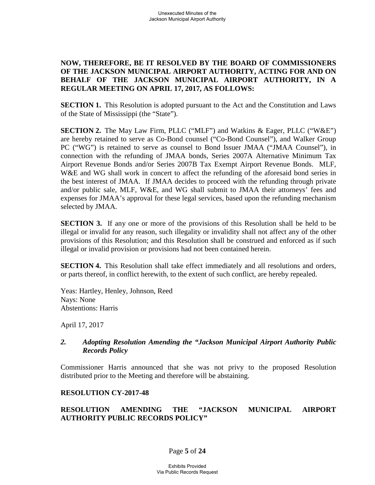# **NOW, THEREFORE, BE IT RESOLVED BY THE BOARD OF COMMISSIONERS OF THE JACKSON MUNICIPAL AIRPORT AUTHORITY, ACTING FOR AND ON BEHALF OF THE JACKSON MUNICIPAL AIRPORT AUTHORITY, IN A REGULAR MEETING ON APRIL 17, 2017, AS FOLLOWS:**

**SECTION 1.** This Resolution is adopted pursuant to the Act and the Constitution and Laws of the State of Mississippi (the "State").

**SECTION 2.** The May Law Firm, PLLC ("MLF") and Watkins & Eager, PLLC ("W&E") are hereby retained to serve as Co-Bond counsel ("Co-Bond Counsel"), and Walker Group PC ("WG") is retained to serve as counsel to Bond Issuer JMAA ("JMAA Counsel"), in connection with the refunding of JMAA bonds, Series 2007A Alternative Minimum Tax Airport Revenue Bonds and/or Series 2007B Tax Exempt Airport Revenue Bonds. MLF, W&E and WG shall work in concert to affect the refunding of the aforesaid bond series in the best interest of JMAA. If JMAA decides to proceed with the refunding through private and/or public sale, MLF, W&E, and WG shall submit to JMAA their attorneys' fees and expenses for JMAA's approval for these legal services, based upon the refunding mechanism selected by JMAA.

**SECTION 3.** If any one or more of the provisions of this Resolution shall be held to be illegal or invalid for any reason, such illegality or invalidity shall not affect any of the other provisions of this Resolution; and this Resolution shall be construed and enforced as if such illegal or invalid provision or provisions had not been contained herein.

**SECTION 4.** This Resolution shall take effect immediately and all resolutions and orders, or parts thereof, in conflict herewith, to the extent of such conflict, are hereby repealed.

Yeas: Hartley, Henley, Johnson, Reed Nays: None Abstentions: Harris

April 17, 2017

### *2. Adopting Resolution Amending the "Jackson Municipal Airport Authority Public Records Policy*

Commissioner Harris announced that she was not privy to the proposed Resolution distributed prior to the Meeting and therefore will be abstaining.

# **RESOLUTION CY-2017-48**

# **RESOLUTION AMENDING THE "JACKSON MUNICIPAL AIRPORT AUTHORITY PUBLIC RECORDS POLICY"**

### Page **5** of **24**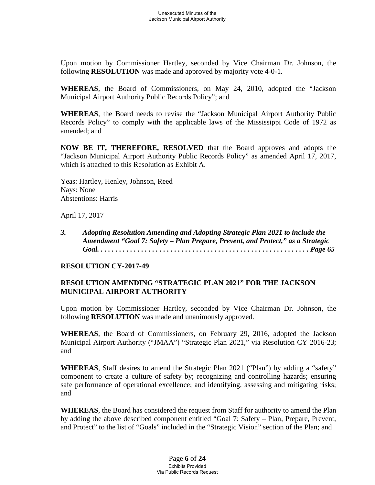Upon motion by Commissioner Hartley, seconded by Vice Chairman Dr. Johnson, the following **RESOLUTION** was made and approved by majority vote 4-0-1.

**WHEREAS**, the Board of Commissioners, on May 24, 2010, adopted the "Jackson Municipal Airport Authority Public Records Policy"; and

**WHEREAS**, the Board needs to revise the "Jackson Municipal Airport Authority Public Records Policy" to comply with the applicable laws of the Mississippi Code of 1972 as amended; and

**NOW BE IT, THEREFORE, RESOLVED** that the Board approves and adopts the "Jackson Municipal Airport Authority Public Records Policy" as amended April 17, 2017, which is attached to this Resolution as Exhibit A.

Yeas: Hartley, Henley, Johnson, Reed Nays: None Abstentions: Harris

April 17, 2017

*3. Adopting Resolution Amending and Adopting Strategic Plan 2021 to include the Amendment "Goal 7: Safety – Plan Prepare, Prevent, and Protect," as a Strategic Goal. . . . . . . . . . . . . . . . . . . . . . . . . . . . . . . . . . . . . . . . . . . . . . . . . . . . . . . . . . Page 65*

## **RESOLUTION CY-2017-49**

# **RESOLUTION AMENDING "STRATEGIC PLAN 2021" FOR THE JACKSON MUNICIPAL AIRPORT AUTHORITY**

Upon motion by Commissioner Hartley, seconded by Vice Chairman Dr. Johnson, the following **RESOLUTION** was made and unanimously approved.

**WHEREAS**, the Board of Commissioners, on February 29, 2016, adopted the Jackson Municipal Airport Authority ("JMAA") "Strategic Plan 2021," via Resolution CY 2016-23; and

**WHEREAS**, Staff desires to amend the Strategic Plan 2021 ("Plan") by adding a "safety" component to create a culture of safety by; recognizing and controlling hazards; ensuring safe performance of operational excellence; and identifying, assessing and mitigating risks; and

**WHEREAS**, the Board has considered the request from Staff for authority to amend the Plan by adding the above described component entitled "Goal 7: Safety – Plan, Prepare, Prevent, and Protect" to the list of "Goals" included in the "Strategic Vision" section of the Plan; and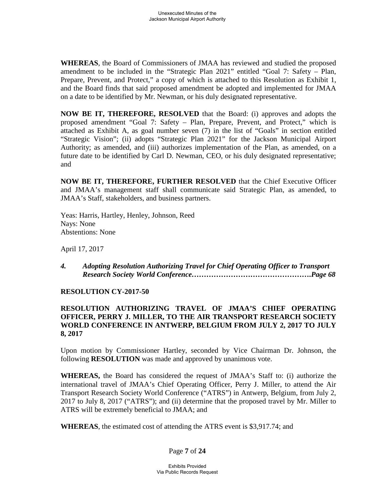**WHEREAS**, the Board of Commissioners of JMAA has reviewed and studied the proposed amendment to be included in the "Strategic Plan 2021" entitled "Goal 7: Safety – Plan, Prepare, Prevent, and Protect," a copy of which is attached to this Resolution as Exhibit 1, and the Board finds that said proposed amendment be adopted and implemented for JMAA on a date to be identified by Mr. Newman, or his duly designated representative.

**NOW BE IT, THEREFORE, RESOLVED** that the Board: (i) approves and adopts the proposed amendment "Goal 7: Safety – Plan, Prepare, Prevent, and Protect," which is attached as Exhibit A, as goal number seven (7) in the list of "Goals" in section entitled "Strategic Vision"; (ii) adopts "Strategic Plan 2021" for the Jackson Municipal Airport Authority; as amended, and (iii) authorizes implementation of the Plan, as amended, on a future date to be identified by Carl D. Newman, CEO, or his duly designated representative; and

**NOW BE IT, THEREFORE, FURTHER RESOLVED** that the Chief Executive Officer and JMAA's management staff shall communicate said Strategic Plan, as amended, to JMAA's Staff, stakeholders, and business partners.

Yeas: Harris, Hartley, Henley, Johnson, Reed Nays: None Abstentions: None

April 17, 2017

*4. Adopting Resolution Authorizing Travel for Chief Operating Officer to Transport Research Society World Conference………………………………………….Page 68*

# **RESOLUTION CY-2017-50**

# **RESOLUTION AUTHORIZING TRAVEL OF JMAA'S CHIEF OPERATING OFFICER, PERRY J. MILLER, TO THE AIR TRANSPORT RESEARCH SOCIETY WORLD CONFERENCE IN ANTWERP, BELGIUM FROM JULY 2, 2017 TO JULY 8, 2017**

Upon motion by Commissioner Hartley, seconded by Vice Chairman Dr. Johnson, the following **RESOLUTION** was made and approved by unanimous vote.

**WHEREAS,** the Board has considered the request of JMAA's Staff to: (i) authorize the international travel of JMAA's Chief Operating Officer, Perry J. Miller, to attend the Air Transport Research Society World Conference ("ATRS") in Antwerp, Belgium, from July 2, 2017 to July 8, 2017 ("ATRS"); and (ii) determine that the proposed travel by Mr. Miller to ATRS will be extremely beneficial to JMAA; and

**WHEREAS**, the estimated cost of attending the ATRS event is \$3,917.74; and

Page **7** of **24**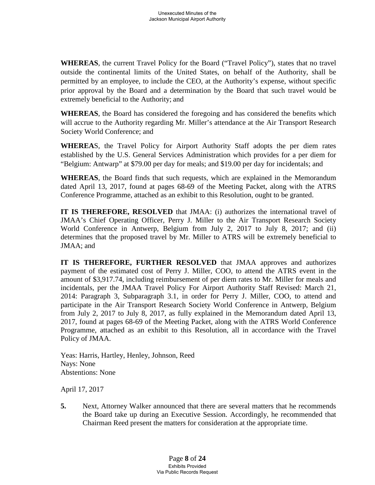**WHEREAS**, the current Travel Policy for the Board ("Travel Policy"), states that no travel outside the continental limits of the United States, on behalf of the Authority, shall be permitted by an employee, to include the CEO, at the Authority's expense, without specific prior approval by the Board and a determination by the Board that such travel would be extremely beneficial to the Authority; and

**WHEREAS**, the Board has considered the foregoing and has considered the benefits which will accrue to the Authority regarding Mr. Miller's attendance at the Air Transport Research Society World Conference; and

**WHEREA**S, the Travel Policy for Airport Authority Staff adopts the per diem rates established by the U.S. General Services Administration which provides for a per diem for "Belgium: Antwarp" at \$79.00 per day for meals; and \$19.00 per day for incidentals; and

**WHEREAS**, the Board finds that such requests, which are explained in the Memorandum dated April 13, 2017, found at pages 68-69 of the Meeting Packet, along with the ATRS Conference Programme, attached as an exhibit to this Resolution, ought to be granted.

**IT IS THEREFORE, RESOLVED** that JMAA: (i) authorizes the international travel of JMAA's Chief Operating Officer, Perry J. Miller to the Air Transport Research Society World Conference in Antwerp, Belgium from July 2, 2017 to July 8, 2017; and (ii) determines that the proposed travel by Mr. Miller to ATRS will be extremely beneficial to JMAA; and

**IT IS THEREFORE, FURTHER RESOLVED** that JMAA approves and authorizes payment of the estimated cost of Perry J. Miller, COO, to attend the ATRS event in the amount of \$3,917.74, including reimbursement of per diem rates to Mr. Miller for meals and incidentals, per the JMAA Travel Policy For Airport Authority Staff Revised: March 21, 2014: Paragraph 3, Subparagraph 3.1, in order for Perry J. Miller, COO, to attend and participate in the Air Transport Research Society World Conference in Antwerp, Belgium from July 2, 2017 to July 8, 2017, as fully explained in the Memorandum dated April 13, 2017, found at pages 68-69 of the Meeting Packet, along with the ATRS World Conference Programme, attached as an exhibit to this Resolution, all in accordance with the Travel Policy of JMAA.

Yeas: Harris, Hartley, Henley, Johnson, Reed Nays: None Abstentions: None

April 17, 2017

**5.** Next, Attorney Walker announced that there are several matters that he recommends the Board take up during an Executive Session. Accordingly, he recommended that Chairman Reed present the matters for consideration at the appropriate time.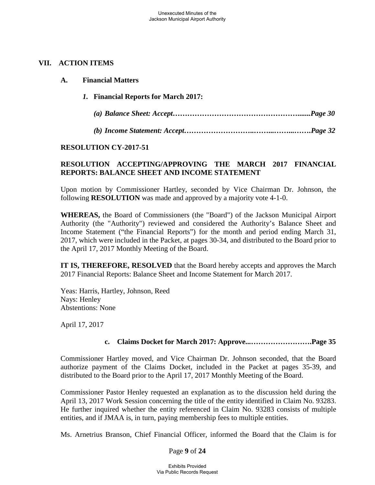## **VII. ACTION ITEMS**

*1.* **Financial Reports for March 2017:** *(a) Balance Sheet: Accept…………………………………………….......Page 30 (b) Income Statement: Accept………………………..……...……...…….Page 32*

### **RESOLUTION CY-2017-51**

# **RESOLUTION ACCEPTING/APPROVING THE MARCH 2017 FINANCIAL REPORTS: BALANCE SHEET AND INCOME STATEMENT**

Upon motion by Commissioner Hartley, seconded by Vice Chairman Dr. Johnson, the following **RESOLUTION** was made and approved by a majority vote 4-1-0.

**WHEREAS,** the Board of Commissioners (the "Board") of the Jackson Municipal Airport Authority (the "Authority") reviewed and considered the Authority's Balance Sheet and Income Statement ("the Financial Reports") for the month and period ending March 31, 2017, which were included in the Packet, at pages 30-34, and distributed to the Board prior to the April 17, 2017 Monthly Meeting of the Board.

**IT IS, THEREFORE, RESOLVED** that the Board hereby accepts and approves the March 2017 Financial Reports: Balance Sheet and Income Statement for March 2017.

Yeas: Harris, Hartley, Johnson, Reed Nays: Henley Abstentions: None

April 17, 2017

# **c. Claims Docket for March 2017: Approve...…………………….Page 35**

Commissioner Hartley moved, and Vice Chairman Dr. Johnson seconded, that the Board authorize payment of the Claims Docket, included in the Packet at pages 35-39, and distributed to the Board prior to the April 17, 2017 Monthly Meeting of the Board.

Commissioner Pastor Henley requested an explanation as to the discussion held during the April 13, 2017 Work Session concerning the title of the entity identified in Claim No. 93283. He further inquired whether the entity referenced in Claim No. 93283 consists of multiple entities, and if JMAA is, in turn, paying membership fees to multiple entities.

Ms. Arnetrius Branson, Chief Financial Officer, informed the Board that the Claim is for

Page **9** of **24**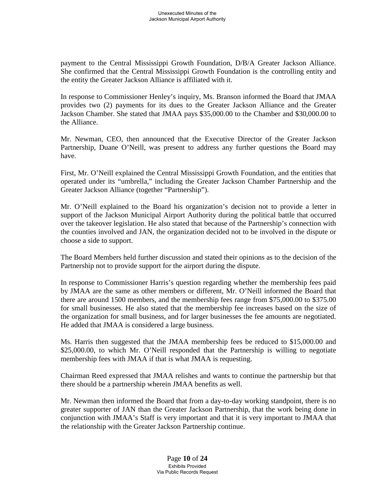payment to the Central Mississippi Growth Foundation, D/B/A Greater Jackson Alliance. She confirmed that the Central Mississippi Growth Foundation is the controlling entity and the entity the Greater Jackson Alliance is affiliated with it.

In response to Commissioner Henley's inquiry, Ms. Branson informed the Board that JMAA provides two (2) payments for its dues to the Greater Jackson Alliance and the Greater Jackson Chamber. She stated that JMAA pays \$35,000.00 to the Chamber and \$30,000.00 to the Alliance.

Mr. Newman, CEO, then announced that the Executive Director of the Greater Jackson Partnership, Duane O'Neill, was present to address any further questions the Board may have.

First, Mr. O'Neill explained the Central Mississippi Growth Foundation, and the entities that operated under its "umbrella," including the Greater Jackson Chamber Partnership and the Greater Jackson Alliance (together "Partnership").

Mr. O'Neill explained to the Board his organization's decision not to provide a letter in support of the Jackson Municipal Airport Authority during the political battle that occurred over the takeover legislation. He also stated that because of the Partnership's connection with the counties involved and JAN, the organization decided not to be involved in the dispute or choose a side to support.

The Board Members held further discussion and stated their opinions as to the decision of the Partnership not to provide support for the airport during the dispute.

In response to Commissioner Harris's question regarding whether the membership fees paid by JMAA are the same as other members or different, Mr. O'Neill informed the Board that there are around 1500 members, and the membership fees range from \$75,000.00 to \$375.00 for small businesses. He also stated that the membership fee increases based on the size of the organization for small business, and for larger businesses the fee amounts are negotiated. He added that JMAA is considered a large business.

Ms. Harris then suggested that the JMAA membership fees be reduced to \$15,000.00 and \$25,000.00, to which Mr. O'Neill responded that the Partnership is willing to negotiate membership fees with JMAA if that is what JMAA is requesting.

Chairman Reed expressed that JMAA relishes and wants to continue the partnership but that there should be a partnership wherein JMAA benefits as well.

Mr. Newman then informed the Board that from a day-to-day working standpoint, there is no greater supporter of JAN than the Greater Jackson Partnership, that the work being done in conjunction with JMAA's Staff is very important and that it is very important to JMAA that the relationship with the Greater Jackson Partnership continue.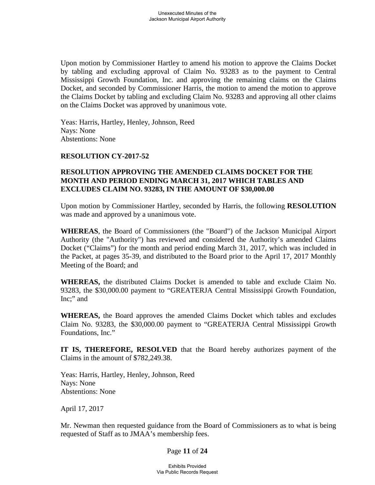Upon motion by Commissioner Hartley to amend his motion to approve the Claims Docket by tabling and excluding approval of Claim No. 93283 as to the payment to Central Mississippi Growth Foundation, Inc. and approving the remaining claims on the Claims Docket, and seconded by Commissioner Harris, the motion to amend the motion to approve the Claims Docket by tabling and excluding Claim No. 93283 and approving all other claims on the Claims Docket was approved by unanimous vote.

Yeas: Harris, Hartley, Henley, Johnson, Reed Nays: None Abstentions: None

### **RESOLUTION CY-2017-52**

## **RESOLUTION APPROVING THE AMENDED CLAIMS DOCKET FOR THE MONTH AND PERIOD ENDING MARCH 31, 2017 WHICH TABLES AND EXCLUDES CLAIM NO. 93283, IN THE AMOUNT OF \$30,000.00**

Upon motion by Commissioner Hartley, seconded by Harris, the following **RESOLUTION** was made and approved by a unanimous vote.

**WHEREAS**, the Board of Commissioners (the "Board") of the Jackson Municipal Airport Authority (the "Authority") has reviewed and considered the Authority's amended Claims Docket ("Claims") for the month and period ending March 31, 2017, which was included in the Packet, at pages 35-39, and distributed to the Board prior to the April 17, 2017 Monthly Meeting of the Board; and

**WHEREAS,** the distributed Claims Docket is amended to table and exclude Claim No. 93283, the \$30,000.00 payment to "GREATERJA Central Mississippi Growth Foundation, Inc;" and

**WHEREAS,** the Board approves the amended Claims Docket which tables and excludes Claim No. 93283, the \$30,000.00 payment to "GREATERJA Central Mississippi Growth Foundations, Inc."

**IT IS, THEREFORE, RESOLVED** that the Board hereby authorizes payment of the Claims in the amount of \$782,249.38.

Yeas: Harris, Hartley, Henley, Johnson, Reed Nays: None Abstentions: None

April 17, 2017

Mr. Newman then requested guidance from the Board of Commissioners as to what is being requested of Staff as to JMAA's membership fees.

### Page **11** of **24**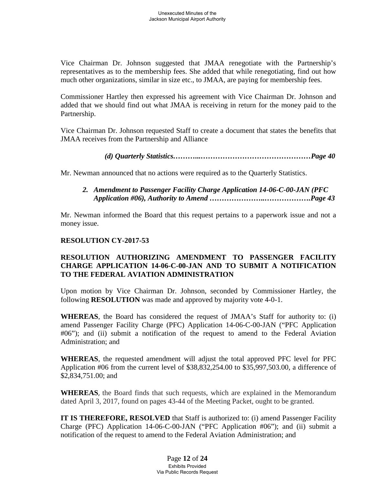Vice Chairman Dr. Johnson suggested that JMAA renegotiate with the Partnership's representatives as to the membership fees. She added that while renegotiating, find out how much other organizations, similar in size etc., to JMAA, are paying for membership fees.

Commissioner Hartley then expressed his agreement with Vice Chairman Dr. Johnson and added that we should find out what JMAA is receiving in return for the money paid to the Partnership.

Vice Chairman Dr. Johnson requested Staff to create a document that states the benefits that JMAA receives from the Partnership and Alliance

*(d) Quarterly Statistics………...………………………………………Page 40*

Mr. Newman announced that no actions were required as to the Quarterly Statistics.

## *2. Amendment to Passenger Facility Charge Application 14-06-C-00-JAN (PFC Application #06), Authority to Amend …………………..……………….Page 43*

Mr. Newman informed the Board that this request pertains to a paperwork issue and not a money issue.

# **RESOLUTION CY-2017-53**

# **RESOLUTION AUTHORIZING AMENDMENT TO PASSENGER FACILITY CHARGE APPLICATION 14-06-C-00-JAN AND TO SUBMIT A NOTIFICATION TO THE FEDERAL AVIATION ADMINISTRATION**

Upon motion by Vice Chairman Dr. Johnson, seconded by Commissioner Hartley, the following **RESOLUTION** was made and approved by majority vote 4-0-1.

**WHEREAS**, the Board has considered the request of JMAA's Staff for authority to: (i) amend Passenger Facility Charge (PFC) Application 14-06-C-00-JAN ("PFC Application #06"); and (ii) submit a notification of the request to amend to the Federal Aviation Administration; and

**WHEREAS**, the requested amendment will adjust the total approved PFC level for PFC Application #06 from the current level of \$38,832,254.00 to \$35,997,503.00, a difference of \$2,834,751.00; and

**WHEREAS**, the Board finds that such requests, which are explained in the Memorandum dated April 3, 2017, found on pages 43-44 of the Meeting Packet, ought to be granted.

**IT IS THEREFORE, RESOLVED** that Staff is authorized to: (i) amend Passenger Facility Charge (PFC) Application 14-06-C-00-JAN ("PFC Application #06"); and (ii) submit a notification of the request to amend to the Federal Aviation Administration; and

> Page **12** of **24** Exhibits Provided Via Public Records Request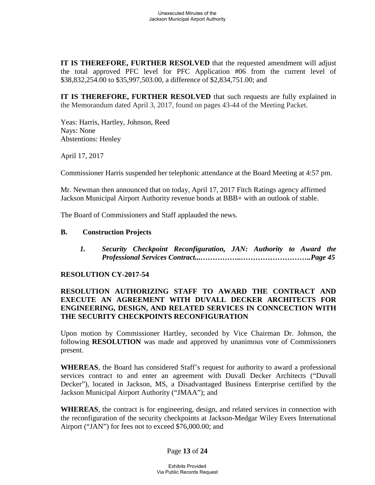**IT IS THEREFORE, FURTHER RESOLVED** that the requested amendment will adjust the total approved PFC level for PFC Application #06 from the current level of \$38,832,254.00 to \$35,997,503.00, a difference of \$2,834,751.00; and

**IT IS THEREFORE, FURTHER RESOLVED** that such requests are fully explained in the Memorandum dated April 3, 2017, found on pages 43-44 of the Meeting Packet.

Yeas: Harris, Hartley, Johnson, Reed Nays: None Abstentions: Henley

April 17, 2017

Commissioner Harris suspended her telephonic attendance at the Board Meeting at 4:57 pm.

Mr. Newman then announced that on today, April 17, 2017 Fitch Ratings agency affirmed Jackson Municipal Airport Authority revenue bonds at BBB+ with an outlook of stable.

The Board of Commissioners and Staff applauded the news.

### **B. Construction Projects**

*1. Security Checkpoint Reconfiguration, JAN: Authority to Award the Professional Services Contract...……………..………………………..Page 45*

### **RESOLUTION CY-2017-54**

## **RESOLUTION AUTHORIZING STAFF TO AWARD THE CONTRACT AND EXECUTE AN AGREEMENT WITH DUVALL DECKER ARCHITECTS FOR ENGINEERING, DESIGN, AND RELATED SERVICES IN CONNCECTION WITH THE SECURITY CHECKPOINTS RECONFIGURATION**

Upon motion by Commissioner Hartley, seconded by Vice Chairman Dr. Johnson, the following **RESOLUTION** was made and approved by unanimous vote of Commissioners present.

**WHEREAS**, the Board has considered Staff's request for authority to award a professional services contract to and enter an agreement with Duvall Decker Architects ("Duvall Decker"), located in Jackson, MS, a Disadvantaged Business Enterprise certified by the Jackson Municipal Airport Authority ("JMAA"); and

**WHEREAS**, the contract is for engineering, design, and related services in connection with the reconfiguration of the security checkpoints at Jackson-Medgar Wiley Evers International Airport ("JAN") for fees not to exceed \$76,000.00; and

# Page **13** of **24**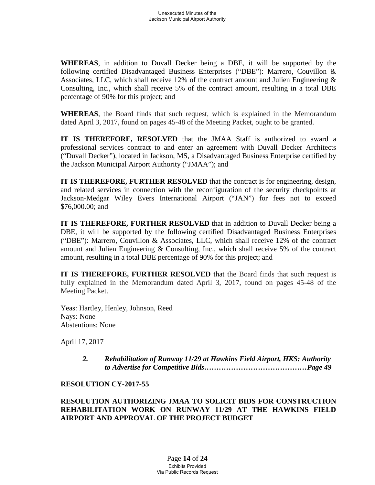**WHEREAS**, in addition to Duvall Decker being a DBE, it will be supported by the following certified Disadvantaged Business Enterprises ("DBE"): Marrero, Couvillon & Associates, LLC, which shall receive 12% of the contract amount and Julien Engineering & Consulting, Inc., which shall receive 5% of the contract amount, resulting in a total DBE percentage of 90% for this project; and

**WHEREAS**, the Board finds that such request, which is explained in the Memorandum dated April 3, 2017, found on pages 45-48 of the Meeting Packet, ought to be granted.

**IT IS THEREFORE, RESOLVED** that the JMAA Staff is authorized to award a professional services contract to and enter an agreement with Duvall Decker Architects ("Duvall Decker"), located in Jackson, MS, a Disadvantaged Business Enterprise certified by the Jackson Municipal Airport Authority ("JMAA"); and

**IT IS THEREFORE, FURTHER RESOLVED** that the contract is for engineering, design, and related services in connection with the reconfiguration of the security checkpoints at Jackson-Medgar Wiley Evers International Airport ("JAN") for fees not to exceed \$76,000.00; and

**IT IS THEREFORE, FURTHER RESOLVED** that in addition to Duvall Decker being a DBE, it will be supported by the following certified Disadvantaged Business Enterprises ("DBE"): Marrero, Couvillon & Associates, LLC, which shall receive 12% of the contract amount and Julien Engineering & Consulting, Inc., which shall receive 5% of the contract amount, resulting in a total DBE percentage of 90% for this project; and

**IT IS THEREFORE, FURTHER RESOLVED** that the Board finds that such request is fully explained in the Memorandum dated April 3, 2017, found on pages 45-48 of the Meeting Packet.

Yeas: Hartley, Henley, Johnson, Reed Nays: None Abstentions: None

April 17, 2017

*2. Rehabilitation of Runway 11/29 at Hawkins Field Airport, HKS: Authority to Advertise for Competitive Bids……………………………………Page 49*

# **RESOLUTION CY-2017-55**

**RESOLUTION AUTHORIZING JMAA TO SOLICIT BIDS FOR CONSTRUCTION REHABILITATION WORK ON RUNWAY 11/29 AT THE HAWKINS FIELD AIRPORT AND APPROVAL OF THE PROJECT BUDGET**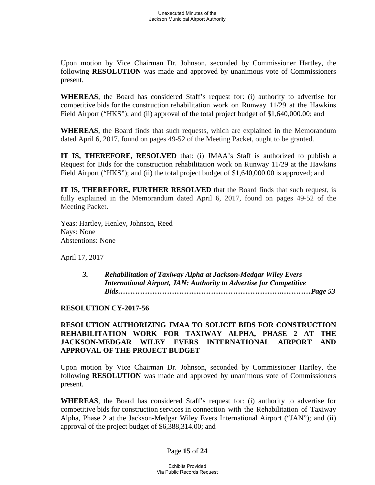Upon motion by Vice Chairman Dr. Johnson, seconded by Commissioner Hartley, the following **RESOLUTION** was made and approved by unanimous vote of Commissioners present.

**WHEREAS**, the Board has considered Staff's request for: (i) authority to advertise for competitive bids for the construction rehabilitation work on Runway 11/29 at the Hawkins Field Airport ("HKS"); and (ii) approval of the total project budget of \$1,640,000.00; and

**WHEREAS**, the Board finds that such requests, which are explained in the Memorandum dated April 6, 2017, found on pages 49-52 of the Meeting Packet, ought to be granted.

**IT IS, THEREFORE, RESOLVED** that: (i) JMAA's Staff is authorized to publish a Request for Bids for the construction rehabilitation work on Runway 11/29 at the Hawkins Field Airport ("HKS"); and (ii) the total project budget of \$1,640,000.00 is approved; and

**IT IS, THEREFORE, FURTHER RESOLVED** that the Board finds that such request, is fully explained in the Memorandum dated April 6, 2017, found on pages 49-52 of the Meeting Packet.

Yeas: Hartley, Henley, Johnson, Reed Nays: None Abstentions: None

April 17, 2017

*3. Rehabilitation of Taxiway Alpha at Jackson-Medgar Wiley Evers International Airport, JAN: Authority to Advertise for Competitive Bids………………………………………………………….…………Page 53*

# **RESOLUTION CY-2017-56**

# **RESOLUTION AUTHORIZING JMAA TO SOLICIT BIDS FOR CONSTRUCTION REHABILITATION WORK FOR TAXIWAY ALPHA, PHASE 2 AT THE JACKSON-MEDGAR WILEY EVERS INTERNATIONAL AIRPORT AND APPROVAL OF THE PROJECT BUDGET**

Upon motion by Vice Chairman Dr. Johnson, seconded by Commissioner Hartley, the following **RESOLUTION** was made and approved by unanimous vote of Commissioners present.

**WHEREAS**, the Board has considered Staff's request for: (i) authority to advertise for competitive bids for construction services in connection with the Rehabilitation of Taxiway Alpha, Phase 2 at the Jackson-Medgar Wiley Evers International Airport ("JAN"); and (ii) approval of the project budget of \$6,388,314.00; and

# Page **15** of **24**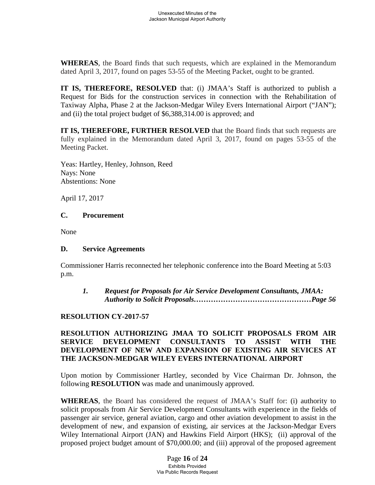**WHEREAS**, the Board finds that such requests, which are explained in the Memorandum dated April 3, 2017, found on pages 53-55 of the Meeting Packet, ought to be granted.

**IT IS, THEREFORE, RESOLVED** that: (i) JMAA's Staff is authorized to publish a Request for Bids for the construction services in connection with the Rehabilitation of Taxiway Alpha, Phase 2 at the Jackson-Medgar Wiley Evers International Airport ("JAN"); and (ii) the total project budget of \$6,388,314.00 is approved; and

**IT IS, THEREFORE, FURTHER RESOLVED** that the Board finds that such requests are fully explained in the Memorandum dated April 3, 2017, found on pages 53-55 of the Meeting Packet.

Yeas: Hartley, Henley, Johnson, Reed Nays: None Abstentions: None

April 17, 2017

### **C. Procurement**

None

### **D. Service Agreements**

Commissioner Harris reconnected her telephonic conference into the Board Meeting at 5:03 p.m.

*1. Request for Proposals for Air Service Development Consultants, JMAA: Authority to Solicit Proposals…………………………………………Page 56*

# **RESOLUTION CY-2017-57**

# **RESOLUTION AUTHORIZING JMAA TO SOLICIT PROPOSALS FROM AIR SERVICE DEVELOPMENT CONSULTANTS TO ASSIST WITH THE DEVELOPMENT OF NEW AND EXPANSION OF EXISTING AIR SEVICES AT THE JACKSON-MEDGAR WILEY EVERS INTERNATIONAL AIRPORT**

Upon motion by Commissioner Hartley, seconded by Vice Chairman Dr. Johnson, the following **RESOLUTION** was made and unanimously approved.

**WHEREAS**, the Board has considered the request of JMAA's Staff for: (i) authority to solicit proposals from Air Service Development Consultants with experience in the fields of passenger air service, general aviation, cargo and other aviation development to assist in the development of new, and expansion of existing, air services at the Jackson-Medgar Evers Wiley International Airport (JAN) and Hawkins Field Airport (HKS); (ii) approval of the proposed project budget amount of \$70,000.00; and (iii) approval of the proposed agreement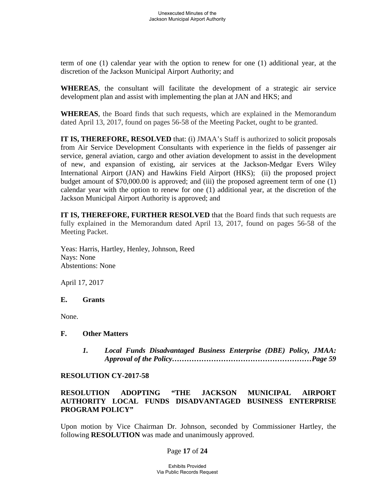term of one (1) calendar year with the option to renew for one (1) additional year, at the discretion of the Jackson Municipal Airport Authority; and

**WHEREAS**, the consultant will facilitate the development of a strategic air service development plan and assist with implementing the plan at JAN and HKS; and

**WHEREAS**, the Board finds that such requests, which are explained in the Memorandum dated April 13, 2017, found on pages 56-58 of the Meeting Packet, ought to be granted.

**IT IS, THEREFORE, RESOLVED** that: (i) JMAA's Staff is authorized to solicit proposals from Air Service Development Consultants with experience in the fields of passenger air service, general aviation, cargo and other aviation development to assist in the development of new, and expansion of existing, air services at the Jackson-Medgar Evers Wiley International Airport (JAN) and Hawkins Field Airport (HKS); (ii) the proposed project budget amount of \$70,000.00 is approved; and (iii) the proposed agreement term of one (1) calendar year with the option to renew for one (1) additional year, at the discretion of the Jackson Municipal Airport Authority is approved; and

**IT IS, THEREFORE, FURTHER RESOLVED** that the Board finds that such requests are fully explained in the Memorandum dated April 13, 2017, found on pages 56-58 of the Meeting Packet.

Yeas: Harris, Hartley, Henley, Johnson, Reed Nays: None Abstentions: None

April 17, 2017

### **E. Grants**

None.

### **F. Other Matters**

*1. Local Funds Disadvantaged Business Enterprise (DBE) Policy, JMAA: Approval of the Policy…………………………………………………Page 59*

### **RESOLUTION CY-2017-58**

# **RESOLUTION ADOPTING "THE JACKSON MUNICIPAL AIRPORT AUTHORITY LOCAL FUNDS DISADVANTAGED BUSINESS ENTERPRISE PROGRAM POLICY"**

Upon motion by Vice Chairman Dr. Johnson, seconded by Commissioner Hartley, the following **RESOLUTION** was made and unanimously approved.

### Page **17** of **24**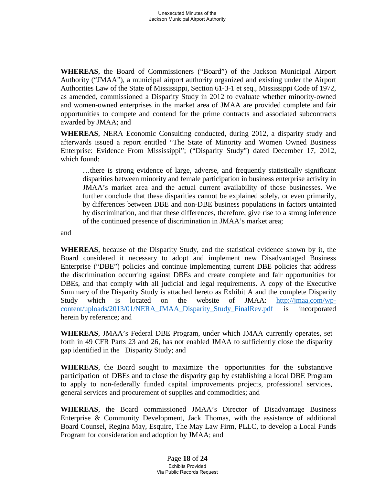**WHEREAS**, the Board of Commissioners ("Board") of the Jackson Municipal Airport Authority ("JMAA"), a municipal airport authority organized and existing under the Airport Authorities Law of the State of Mississippi, Section 61-3-1 et seq., Mississippi Code of 1972, as amended, commissioned a Disparity Study in 2012 to evaluate whether minority-owned and women-owned enterprises in the market area of JMAA are provided complete and fair opportunities to compete and contend for the prime contracts and associated subcontracts awarded by JMAA; and

**WHEREAS**, NERA Economic Consulting conducted, during 2012, a disparity study and afterwards issued a report entitled "The State of Minority and Women Owned Business Enterprise: Evidence From Mississippi"; ("Disparity Study") dated December 17, 2012, which found:

…there is strong evidence of large, adverse, and frequently statistically significant disparities between minority and female participation in business enterprise activity in JMAA's market area and the actual current availability of those businesses. We further conclude that these disparities cannot be explained solely, or even primarily, by differences between DBE and non-DBE business populations in factors untainted by discrimination, and that these differences, therefore, give rise to a strong inference of the continued presence of discrimination in JMAA's market area;

and

**WHEREAS**, because of the Disparity Study, and the statistical evidence shown by it, the Board considered it necessary to adopt and implement new Disadvantaged Business Enterprise ("DBE") policies and continue implementing current DBE policies that address the discrimination occurring against DBEs and create complete and fair opportunities for DBEs, and that comply with all judicial and legal requirements. A copy of the Executive Summary of the Disparity Study is attached hereto as Exhibit A and the complete Disparity Study which is located on the website of JMAA: http://jmaa.com/wpcontent/uploads/2013/01/NERA\_JMAA\_Disparity\_Study\_FinalRev.pdf is incorporated herein by reference; and

**WHEREAS**, JMAA's Federal DBE Program, under which JMAA currently operates, set forth in 49 CFR Parts 23 and 26, has not enabled JMAA to sufficiently close the disparity gap identified in the Disparity Study; and

**WHEREAS**, the Board sought to maximize the opportunities for the substantive participation of DBEs and to close the disparity gap by establishing a local DBE Program to apply to non-federally funded capital improvements projects, professional services, general services and procurement of supplies and commodities; and

**WHEREAS**, the Board commissioned JMAA's Director of Disadvantage Business Enterprise & Community Development, Jack Thomas, with the assistance of additional Board Counsel, Regina May, Esquire, The May Law Firm, PLLC, to develop a Local Funds Program for consideration and adoption by JMAA; and

> Page **18** of **24** Exhibits Provided Via Public Records Request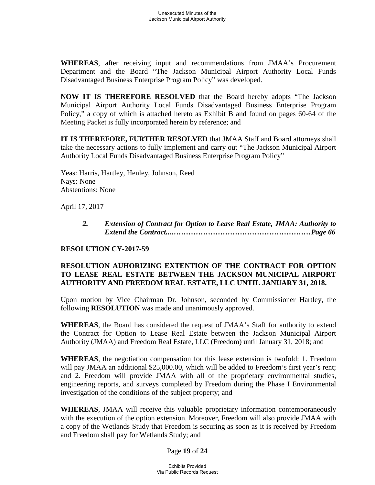**WHEREAS**, after receiving input and recommendations from JMAA's Procurement Department and the Board "The Jackson Municipal Airport Authority Local Funds Disadvantaged Business Enterprise Program Policy" was developed.

**NOW IT IS THEREFORE RESOLVED** that the Board hereby adopts "The Jackson Municipal Airport Authority Local Funds Disadvantaged Business Enterprise Program Policy," a copy of which is attached hereto as Exhibit B and found on pages 60-64 of the Meeting Packet is fully incorporated herein by reference; and

**IT IS THEREFORE, FURTHER RESOLVED** that JMAA Staff and Board attorneys shall take the necessary actions to fully implement and carry out "The Jackson Municipal Airport Authority Local Funds Disadvantaged Business Enterprise Program Policy"

Yeas: Harris, Hartley, Henley, Johnson, Reed Nays: None Abstentions: None

April 17, 2017

*2. Extension of Contract for Option to Lease Real Estate, JMAA: Authority to Extend the Contract...…………………………………………………Page 66*

# **RESOLUTION CY-2017-59**

## **RESOLUTION AUHORIZING EXTENTION OF THE CONTRACT FOR OPTION TO LEASE REAL ESTATE BETWEEN THE JACKSON MUNICIPAL AIRPORT AUTHORITY AND FREEDOM REAL ESTATE, LLC UNTIL JANUARY 31, 2018.**

Upon motion by Vice Chairman Dr. Johnson, seconded by Commissioner Hartley, the following **RESOLUTION** was made and unanimously approved.

**WHEREAS**, the Board has considered the request of JMAA's Staff for authority to extend the Contract for Option to Lease Real Estate between the Jackson Municipal Airport Authority (JMAA) and Freedom Real Estate, LLC (Freedom) until January 31, 2018; and

**WHEREAS**, the negotiation compensation for this lease extension is twofold: 1. Freedom will pay JMAA an additional \$25,000.00, which will be added to Freedom's first year's rent; and 2. Freedom will provide JMAA with all of the proprietary environmental studies, engineering reports, and surveys completed by Freedom during the Phase I Environmental investigation of the conditions of the subject property; and

**WHEREAS**, JMAA will receive this valuable proprietary information contemporaneously with the execution of the option extension. Moreover, Freedom will also provide JMAA with a copy of the Wetlands Study that Freedom is securing as soon as it is received by Freedom and Freedom shall pay for Wetlands Study; and

Page **19** of **24**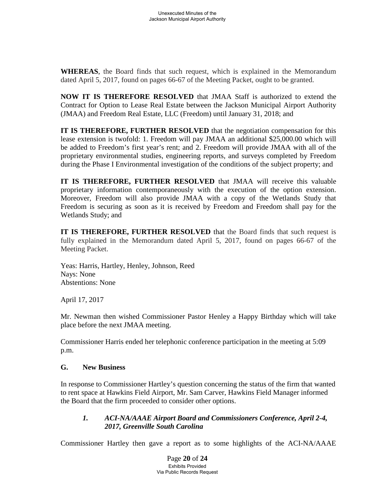**WHEREAS**, the Board finds that such request, which is explained in the Memorandum dated April 5, 2017, found on pages 66-67 of the Meeting Packet, ought to be granted.

**NOW IT IS THEREFORE RESOLVED** that JMAA Staff is authorized to extend the Contract for Option to Lease Real Estate between the Jackson Municipal Airport Authority (JMAA) and Freedom Real Estate, LLC (Freedom) until January 31, 2018; and

**IT IS THEREFORE, FURTHER RESOLVED** that the negotiation compensation for this lease extension is twofold: 1. Freedom will pay JMAA an additional \$25,000.00 which will be added to Freedom's first year's rent; and 2. Freedom will provide JMAA with all of the proprietary environmental studies, engineering reports, and surveys completed by Freedom during the Phase I Environmental investigation of the conditions of the subject property; and

**IT IS THEREFORE, FURTHER RESOLVED** that JMAA will receive this valuable proprietary information contemporaneously with the execution of the option extension. Moreover, Freedom will also provide JMAA with a copy of the Wetlands Study that Freedom is securing as soon as it is received by Freedom and Freedom shall pay for the Wetlands Study; and

**IT IS THEREFORE, FURTHER RESOLVED** that the Board finds that such request is fully explained in the Memorandum dated April 5, 2017, found on pages 66-67 of the Meeting Packet.

Yeas: Harris, Hartley, Henley, Johnson, Reed Nays: None Abstentions: None

April 17, 2017

Mr. Newman then wished Commissioner Pastor Henley a Happy Birthday which will take place before the next JMAA meeting.

Commissioner Harris ended her telephonic conference participation in the meeting at 5:09 p.m.

# **G. New Business**

In response to Commissioner Hartley's question concerning the status of the firm that wanted to rent space at Hawkins Field Airport, Mr. Sam Carver, Hawkins Field Manager informed the Board that the firm proceeded to consider other options.

# *1. ACI-NA/AAAE Airport Board and Commissioners Conference, April 2-4, 2017, Greenville South Carolina*

Commissioner Hartley then gave a report as to some highlights of the ACI-NA/AAAE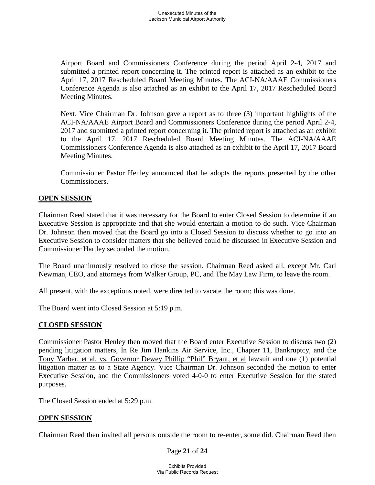Airport Board and Commissioners Conference during the period April 2-4, 2017 and submitted a printed report concerning it. The printed report is attached as an exhibit to the April 17, 2017 Rescheduled Board Meeting Minutes. The ACI-NA/AAAE Commissioners Conference Agenda is also attached as an exhibit to the April 17, 2017 Rescheduled Board Meeting Minutes.

Next, Vice Chairman Dr. Johnson gave a report as to three (3) important highlights of the ACI-NA/AAAE Airport Board and Commissioners Conference during the period April 2-4, 2017 and submitted a printed report concerning it. The printed report is attached as an exhibit to the April 17, 2017 Rescheduled Board Meeting Minutes. The ACI-NA/AAAE Commissioners Conference Agenda is also attached as an exhibit to the April 17, 2017 Board Meeting Minutes.

Commissioner Pastor Henley announced that he adopts the reports presented by the other Commissioners.

### **OPEN SESSION**

Chairman Reed stated that it was necessary for the Board to enter Closed Session to determine if an Executive Session is appropriate and that she would entertain a motion to do such. Vice Chairman Dr. Johnson then moved that the Board go into a Closed Session to discuss whether to go into an Executive Session to consider matters that she believed could be discussed in Executive Session and Commissioner Hartley seconded the motion.

The Board unanimously resolved to close the session. Chairman Reed asked all, except Mr. Carl Newman, CEO, and attorneys from Walker Group, PC, and The May Law Firm, to leave the room.

All present, with the exceptions noted, were directed to vacate the room; this was done.

The Board went into Closed Session at 5:19 p.m.

### **CLOSED SESSION**

Commissioner Pastor Henley then moved that the Board enter Executive Session to discuss two (2) pending litigation matters, In Re Jim Hankins Air Service, Inc., Chapter 11, Bankruptcy, and the Tony Yarber, et al. vs. Governor Dewey Phillip "Phil" Bryant, et al lawsuit and one (1) potential litigation matter as to a State Agency. Vice Chairman Dr. Johnson seconded the motion to enter Executive Session, and the Commissioners voted 4-0-0 to enter Executive Session for the stated purposes.

The Closed Session ended at 5:29 p.m.

### **OPEN SESSION**

Chairman Reed then invited all persons outside the room to re-enter, some did. Chairman Reed then

### Page **21** of **24**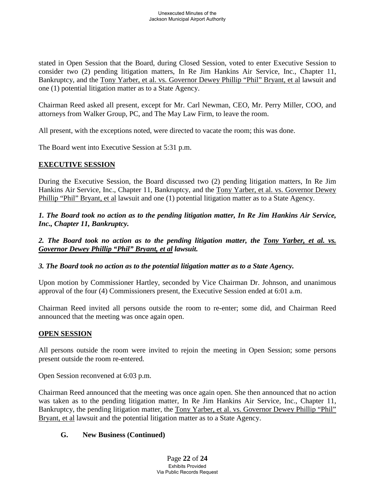stated in Open Session that the Board, during Closed Session, voted to enter Executive Session to consider two (2) pending litigation matters, In Re Jim Hankins Air Service, Inc., Chapter 11, Bankruptcy, and the Tony Yarber, et al. vs. Governor Dewey Phillip "Phil" Bryant, et al lawsuit and one (1) potential litigation matter as to a State Agency.

Chairman Reed asked all present, except for Mr. Carl Newman, CEO, Mr. Perry Miller, COO, and attorneys from Walker Group, PC, and The May Law Firm, to leave the room.

All present, with the exceptions noted, were directed to vacate the room; this was done.

The Board went into Executive Session at 5:31 p.m.

# **EXECUTIVE SESSION**

During the Executive Session, the Board discussed two (2) pending litigation matters, In Re Jim Hankins Air Service, Inc., Chapter 11, Bankruptcy, and the Tony Yarber, et al. vs. Governor Dewey Phillip "Phil" Bryant, et al lawsuit and one (1) potential litigation matter as to a State Agency.

*1. The Board took no action as to the pending litigation matter, In Re Jim Hankins Air Service, Inc., Chapter 11, Bankruptcy.*

*2. The Board took no action as to the pending litigation matter, the Tony Yarber, et al. vs. Governor Dewey Phillip "Phil" Bryant, et al lawsuit.*

*3. The Board took no action as to the potential litigation matter as to a State Agency.*

Upon motion by Commissioner Hartley, seconded by Vice Chairman Dr. Johnson, and unanimous approval of the four (4) Commissioners present, the Executive Session ended at 6:01 a.m.

Chairman Reed invited all persons outside the room to re-enter; some did, and Chairman Reed announced that the meeting was once again open.

# **OPEN SESSION**

All persons outside the room were invited to rejoin the meeting in Open Session; some persons present outside the room re-entered.

Open Session reconvened at 6:03 p.m.

Chairman Reed announced that the meeting was once again open. She then announced that no action was taken as to the pending litigation matter, In Re Jim Hankins Air Service, Inc., Chapter 11, Bankruptcy, the pending litigation matter, the Tony Yarber, et al. vs. Governor Dewey Phillip "Phil" Bryant, et al lawsuit and the potential litigation matter as to a State Agency.

# **G. New Business (Continued)**

Page **22** of **24** Exhibits Provided Via Public Records Request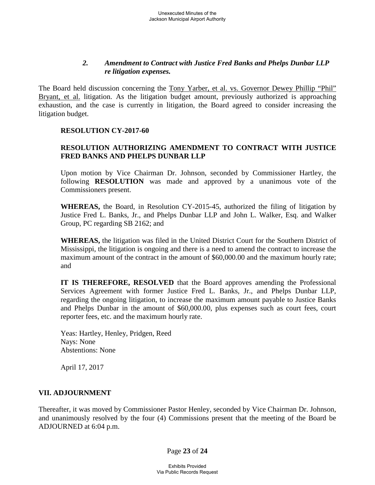## *2. Amendment to Contract with Justice Fred Banks and Phelps Dunbar LLP re litigation expenses.*

The Board held discussion concerning the Tony Yarber, et al. vs. Governor Dewey Phillip "Phil" Bryant, et al. litigation. As the litigation budget amount, previously authorized is approaching exhaustion, and the case is currently in litigation, the Board agreed to consider increasing the litigation budget.

### **RESOLUTION CY-2017-60**

# **RESOLUTION AUTHORIZING AMENDMENT TO CONTRACT WITH JUSTICE FRED BANKS AND PHELPS DUNBAR LLP**

Upon motion by Vice Chairman Dr. Johnson, seconded by Commissioner Hartley, the following **RESOLUTION** was made and approved by a unanimous vote of the Commissioners present.

**WHEREAS,** the Board, in Resolution CY-2015-45, authorized the filing of litigation by Justice Fred L. Banks, Jr., and Phelps Dunbar LLP and John L. Walker, Esq. and Walker Group, PC regarding SB 2162; and

**WHEREAS,** the litigation was filed in the United District Court for the Southern District of Mississippi, the litigation is ongoing and there is a need to amend the contract to increase the maximum amount of the contract in the amount of \$60,000.00 and the maximum hourly rate; and

**IT IS THEREFORE, RESOLVED** that the Board approves amending the Professional Services Agreement with former Justice Fred L. Banks, Jr., and Phelps Dunbar LLP, regarding the ongoing litigation, to increase the maximum amount payable to Justice Banks and Phelps Dunbar in the amount of \$60,000.00, plus expenses such as court fees, court reporter fees, etc. and the maximum hourly rate.

Yeas: Hartley, Henley, Pridgen, Reed Nays: None Abstentions: None

April 17, 2017

# **VII. ADJOURNMENT**

Thereafter, it was moved by Commissioner Pastor Henley, seconded by Vice Chairman Dr. Johnson, and unanimously resolved by the four (4) Commissions present that the meeting of the Board be ADJOURNED at 6:04 p.m.

Page **23** of **24**